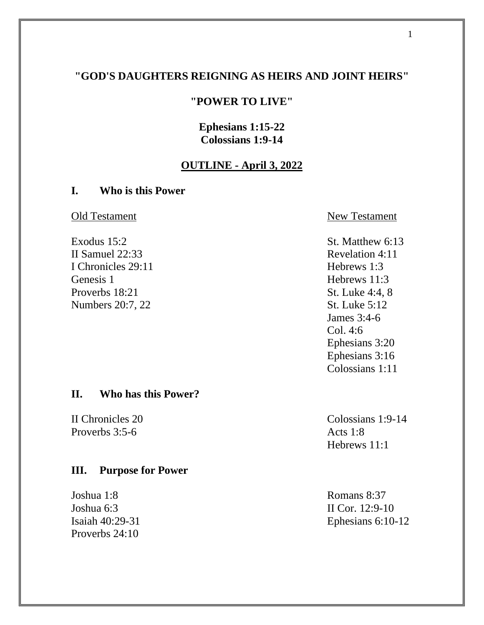# **"GOD'S DAUGHTERS REIGNING AS HEIRS AND JOINT HEIRS"**

### **"POWER TO LIVE"**

# **Ephesians 1:15-22 Colossians 1:9-14**

## **OUTLINE - April 3, 2022**

### **I. Who is this Power**

II Samuel 22:33 Revelation 4:11 I Chronicles 29:11 Hebrews 1:3 Genesis 1 Hebrews 11:3 Proverbs 18:21 St. Luke 4:4, 8 Numbers 20:7, 22 St. Luke 5:12

#### **II. Who has this Power?**

Proverbs 3:5-6 Acts 1:8

# **III. Purpose for Power**

Joshua 1:8 Romans 8:37 Joshua 6:3 II Cor. 12:9-10 Proverbs 24:10

Old Testament New Testament

Exodus 15:2 St. Matthew 6:13 James 3:4-6 Col. 4:6 Ephesians 3:20 Ephesians 3:16 Colossians 1:11

II Chronicles 20 Colossians 1:9-14 Hebrews 11:1

Isaiah 40:29-31 Ephesians 6:10-12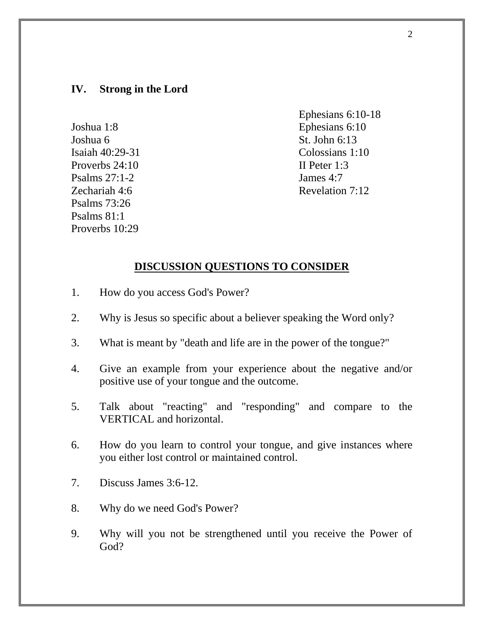# **IV. Strong in the Lord**

Joshua 6 St. John 6:13 Proverbs 24:10 II Peter 1:3 Psalms 27:1-2 James 4:7 Psalms 73:26 Psalms 81:1 Proverbs 10:29

Ephesians 6:10-18 Joshua 1:8 Ephesians 6:10 Isaiah 40:29-31 Colossians 1:10 Zechariah 4:6 Revelation 7:12

#### **DISCUSSION QUESTIONS TO CONSIDER**

- 1. How do you access God's Power?
- 2. Why is Jesus so specific about a believer speaking the Word only?
- 3. What is meant by "death and life are in the power of the tongue?"
- 4. Give an example from your experience about the negative and/or positive use of your tongue and the outcome.
- 5. Talk about "reacting" and "responding" and compare to the VERTICAL and horizontal.
- 6. How do you learn to control your tongue, and give instances where you either lost control or maintained control.
- 7. Discuss James 3:6-12.
- 8. Why do we need God's Power?
- 9. Why will you not be strengthened until you receive the Power of God?